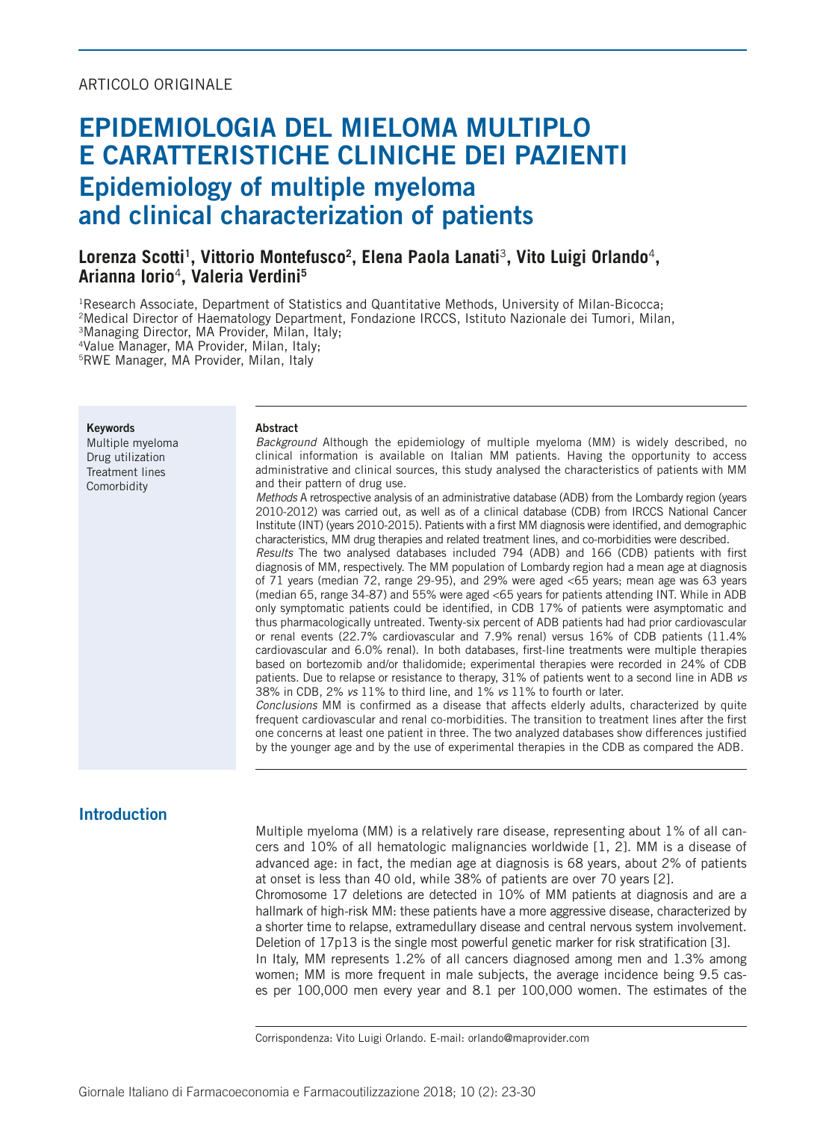## ARTICOLO ORIGINALE

# EPIDEMIOLOGIA DEL MIELOMA MULTIPLO E CARATTERISTICHE CLINICHE DEI PAZIENTI Epidemiology of multiple myeloma and clinical characterization of patients

# **Lorenza Scotti1 , Vittorio Montefusco2 , Elena Paola Lanati**3**, Vito Luigi Orlando**4**, Arianna Iorio**4**, Valeria Verdini5**

1Research Associate, Department of Statistics and Quantitative Methods, University of Milan-Bicocca;

2Medical Director of Haematology Department, Fondazione IRCCS, Istituto Nazionale dei Tumori, Milan,

3Managing Director, MA Provider, Milan, Italy;

4Value Manager, MA Provider, Milan, Italy;

5RWE Manager, MA Provider, Milan, Italy

Keywords Multiple myeloma Drug utilization Treatment lines Comorbidity

#### Abstract

*Background* Although the epidemiology of multiple myeloma (MM) is widely described, no clinical information is available on Italian MM patients. Having the opportunity to access administrative and clinical sources, this study analysed the characteristics of patients with MM and their pattern of drug use.

*Methods* A retrospective analysis of an administrative database (ADB) from the Lombardy region (years 2010-2012) was carried out, as well as of a clinical database (CDB) from IRCCS National Cancer Institute (INT) (years 2010-2015). Patients with a first MM diagnosis were identified, and demographic characteristics, MM drug therapies and related treatment lines, and co-morbidities were described.

*Results* The two analysed databases included 794 (ADB) and 166 (CDB) patients with first diagnosis of MM, respectively. The MM population of Lombardy region had a mean age at diagnosis of 71 years (median 72, range 29-95), and 29% were aged <65 years; mean age was 63 years (median 65, range 34-87) and 55% were aged <65 years for patients attending INT. While in ADB only symptomatic patients could be identified, in CDB 17% of patients were asymptomatic and thus pharmacologically untreated. Twenty-six percent of ADB patients had had prior cardiovascular or renal events (22.7% cardiovascular and 7.9% renal) versus 16% of CDB patients (11.4% cardiovascular and 6.0% renal). In both databases, first-line treatments were multiple therapies based on bortezomib and/or thalidomide; experimental therapies were recorded in 24% of CDB patients. Due to relapse or resistance to therapy, 31% of patients went to a second line in ADB *vs* 38% in CDB, 2% *vs* 11% to third line, and 1% *vs* 11% to fourth or later.

*Conclusions* MM is confirmed as a disease that affects elderly adults, characterized by quite frequent cardiovascular and renal co-morbidities. The transition to treatment lines after the first one concerns at least one patient in three. The two analyzed databases show differences justified by the younger age and by the use of experimental therapies in the CDB as compared the ADB.

# Introduction

Multiple myeloma (MM) is a relatively rare disease, representing about 1% of all cancers and 10% of all hematologic malignancies worldwide [1, 2]. MM is a disease of advanced age: in fact, the median age at diagnosis is 68 years, about 2% of patients at onset is less than 40 old, while 38% of patients are over 70 years [2]. Chromosome 17 deletions are detected in 10% of MM patients at diagnosis and are a

hallmark of high-risk MM: these patients have a more aggressive disease, characterized by a shorter time to relapse, extramedullary disease and central nervous system involvement. Deletion of 17p13 is the single most powerful genetic marker for risk stratification [3].

In Italy, MM represents 1.2% of all cancers diagnosed among men and 1.3% among women; MM is more frequent in male subjects, the average incidence being 9.5 cases per 100,000 men every year and 8.1 per 100,000 women. The estimates of the

Corrispondenza: Vito Luigi Orlando. E-mail: orlando@maprovider.com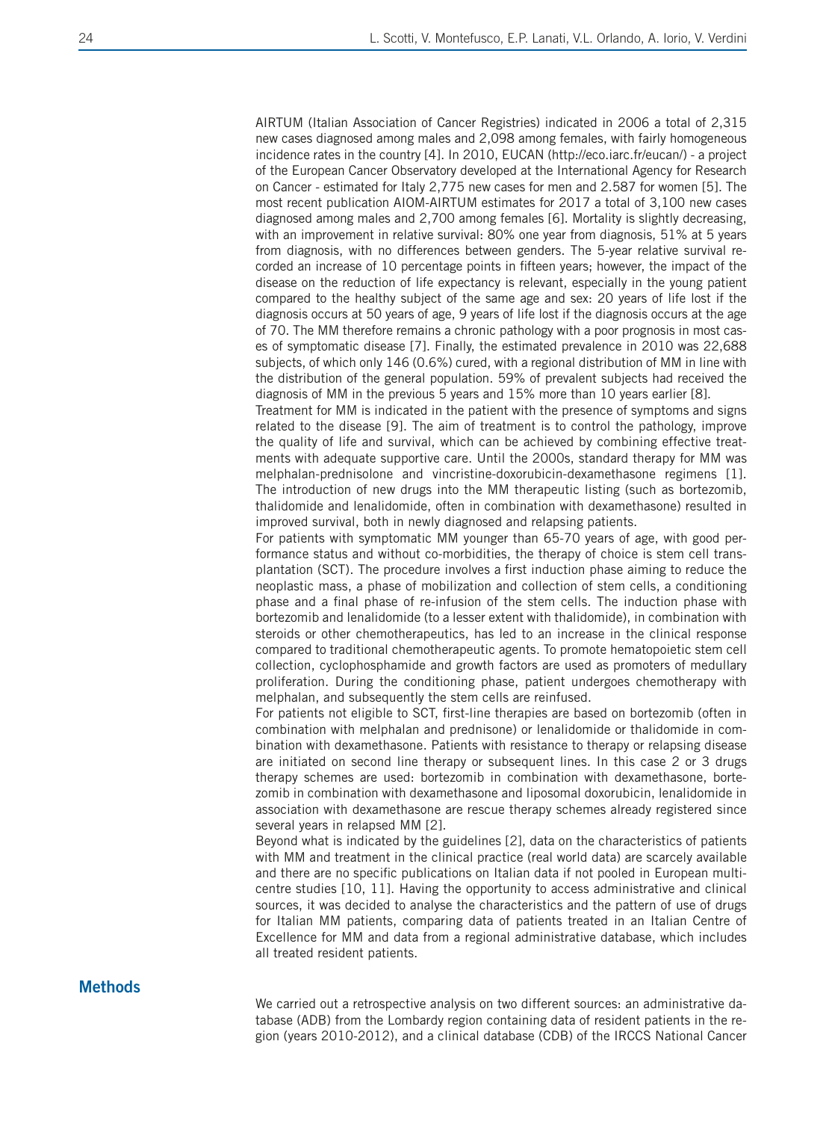AIRTUM (Italian Association of Cancer Registries) indicated in 2006 a total of 2,315 new cases diagnosed among males and 2,098 among females, with fairly homogeneous incidence rates in the country [4]. In 2010, EUCAN (http://eco.iarc.fr/eucan/) - a project of the European Cancer Observatory developed at the International Agency for Research on Cancer - estimated for Italy 2,775 new cases for men and 2.587 for women [5]. The most recent publication AIOM-AIRTUM estimates for 2017 a total of 3,100 new cases diagnosed among males and 2,700 among females [6]. Mortality is slightly decreasing, with an improvement in relative survival: 80% one year from diagnosis, 51% at 5 years from diagnosis, with no differences between genders. The 5-year relative survival recorded an increase of 10 percentage points in fifteen years; however, the impact of the disease on the reduction of life expectancy is relevant, especially in the young patient compared to the healthy subject of the same age and sex: 20 years of life lost if the diagnosis occurs at 50 years of age, 9 years of life lost if the diagnosis occurs at the age of 70. The MM therefore remains a chronic pathology with a poor prognosis in most cases of symptomatic disease [7]. Finally, the estimated prevalence in 2010 was 22,688 subjects, of which only 146 (0.6%) cured, with a regional distribution of MM in line with the distribution of the general population. 59% of prevalent subjects had received the diagnosis of MM in the previous 5 years and 15% more than 10 years earlier [8].

Treatment for MM is indicated in the patient with the presence of symptoms and signs related to the disease [9]. The aim of treatment is to control the pathology, improve the quality of life and survival, which can be achieved by combining effective treatments with adequate supportive care. Until the 2000s, standard therapy for MM was melphalan-prednisolone and vincristine-doxorubicin-dexamethasone regimens [1]. The introduction of new drugs into the MM therapeutic listing (such as bortezomib, thalidomide and lenalidomide, often in combination with dexamethasone) resulted in improved survival, both in newly diagnosed and relapsing patients.

For patients with symptomatic MM younger than 65-70 years of age, with good performance status and without co-morbidities, the therapy of choice is stem cell transplantation (SCT). The procedure involves a first induction phase aiming to reduce the neoplastic mass, a phase of mobilization and collection of stem cells, a conditioning phase and a final phase of re-infusion of the stem cells. The induction phase with bortezomib and lenalidomide (to a lesser extent with thalidomide), in combination with steroids or other chemotherapeutics, has led to an increase in the clinical response compared to traditional chemotherapeutic agents. To promote hematopoietic stem cell collection, cyclophosphamide and growth factors are used as promoters of medullary proliferation. During the conditioning phase, patient undergoes chemotherapy with melphalan, and subsequently the stem cells are reinfused.

For patients not eligible to SCT, first-line therapies are based on bortezomib (often in combination with melphalan and prednisone) or lenalidomide or thalidomide in combination with dexamethasone. Patients with resistance to therapy or relapsing disease are initiated on second line therapy or subsequent lines. In this case 2 or 3 drugs therapy schemes are used: bortezomib in combination with dexamethasone, bortezomib in combination with dexamethasone and liposomal doxorubicin, lenalidomide in association with dexamethasone are rescue therapy schemes already registered since several years in relapsed MM [2].

Beyond what is indicated by the guidelines [2], data on the characteristics of patients with MM and treatment in the clinical practice (real world data) are scarcely available and there are no specific publications on Italian data if not pooled in European multicentre studies [10, 11]. Having the opportunity to access administrative and clinical sources, it was decided to analyse the characteristics and the pattern of use of drugs for Italian MM patients, comparing data of patients treated in an Italian Centre of Excellence for MM and data from a regional administrative database, which includes all treated resident patients.

### **Methods**

We carried out a retrospective analysis on two different sources: an administrative database (ADB) from the Lombardy region containing data of resident patients in the region (years 2010-2012), and a clinical database (CDB) of the IRCCS National Cancer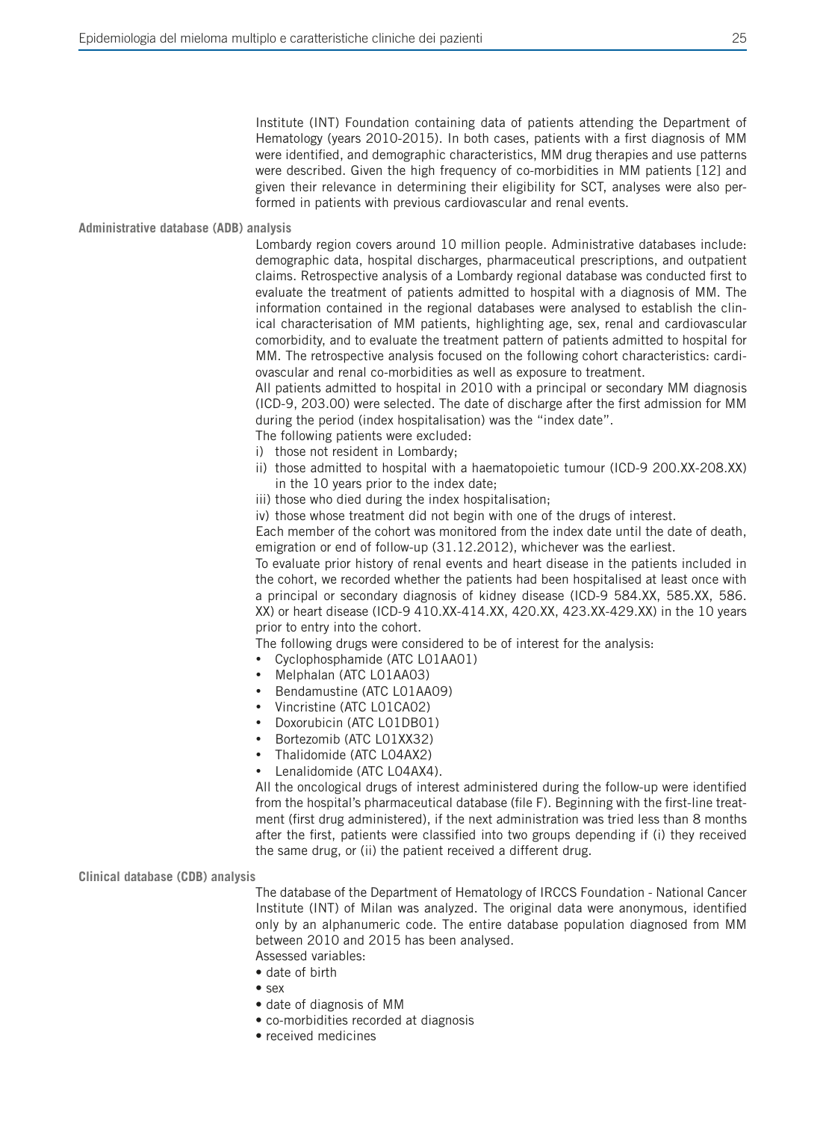Institute (INT) Foundation containing data of patients attending the Department of Hematology (years 2010-2015). In both cases, patients with a first diagnosis of MM were identified, and demographic characteristics, MM drug therapies and use patterns were described. Given the high frequency of co-morbidities in MM patients [12] and given their relevance in determining their eligibility for SCT, analyses were also performed in patients with previous cardiovascular and renal events.

#### **Administrative database (ADB) analysis**

Lombardy region covers around 10 million people. Administrative databases include: demographic data, hospital discharges, pharmaceutical prescriptions, and outpatient claims. Retrospective analysis of a Lombardy regional database was conducted first to evaluate the treatment of patients admitted to hospital with a diagnosis of MM. The information contained in the regional databases were analysed to establish the clinical characterisation of MM patients, highlighting age, sex, renal and cardiovascular comorbidity, and to evaluate the treatment pattern of patients admitted to hospital for MM. The retrospective analysis focused on the following cohort characteristics: cardiovascular and renal co-morbidities as well as exposure to treatment.

All patients admitted to hospital in 2010 with a principal or secondary MM diagnosis (ICD-9, 203.00) were selected. The date of discharge after the first admission for MM during the period (index hospitalisation) was the "index date".

- The following patients were excluded: i) those not resident in Lombardy;
- ii) those admitted to hospital with a haematopoietic tumour (ICD-9 200.XX-208.XX) in the 10 years prior to the index date;
- iii) those who died during the index hospitalisation;

iv) those whose treatment did not begin with one of the drugs of interest.

Each member of the cohort was monitored from the index date until the date of death, emigration or end of follow-up (31.12.2012), whichever was the earliest.

To evaluate prior history of renal events and heart disease in the patients included in the cohort, we recorded whether the patients had been hospitalised at least once with a principal or secondary diagnosis of kidney disease (ICD-9 584.XX, 585.XX, 586. XX) or heart disease (ICD-9 410.XX-414.XX, 420.XX, 423.XX-429.XX) in the 10 years prior to entry into the cohort.

The following drugs were considered to be of interest for the analysis:

- • Cyclophosphamide (ATC L01AA01)
- Melphalan (ATC L01AA03)
- Bendamustine (ATC L01AA09)
- Vincristine (ATC L01CA02)
- Doxorubicin (ATC L01DB01)
- Bortezomib (ATC L01XX32)
- Thalidomide (ATC L04AX2)
- Lenalidomide (ATC LO4AX4).

All the oncological drugs of interest administered during the follow-up were identified from the hospital's pharmaceutical database (file F). Beginning with the first-line treatment (first drug administered), if the next administration was tried less than 8 months after the first, patients were classified into two groups depending if (i) they received the same drug, or (ii) the patient received a different drug.

#### **Clinical database (CDB) analysis**

The database of the Department of Hematology of IRCCS Foundation - National Cancer Institute (INT) of Milan was analyzed. The original data were anonymous, identified only by an alphanumeric code. The entire database population diagnosed from MM between 2010 and 2015 has been analysed.

Assessed variables:

- date of birth
- sex
- date of diagnosis of MM
- co-morbidities recorded at diagnosis
- received medicines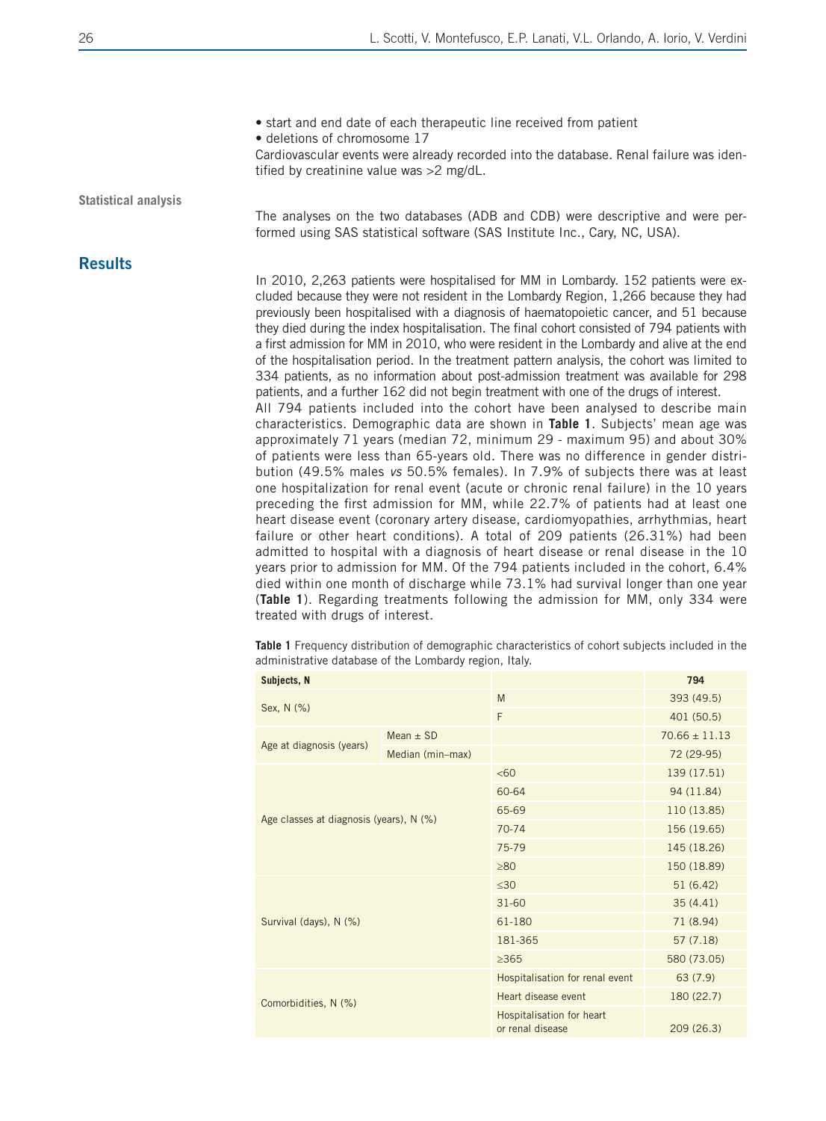• start and end date of each therapeutic line received from patient

• deletions of chromosome 17

Cardiovascular events were already recorded into the database. Renal failure was identified by creatinine value was >2 mg/dL.

**Statistical analysis**

**Results** 

The analyses on the two databases (ADB and CDB) were descriptive and were performed using SAS statistical software (SAS Institute Inc., Cary, NC, USA).

In 2010, 2,263 patients were hospitalised for MM in Lombardy. 152 patients were excluded because they were not resident in the Lombardy Region, 1,266 because they had previously been hospitalised with a diagnosis of haematopoietic cancer, and 51 because they died during the index hospitalisation. The final cohort consisted of 794 patients with a first admission for MM in 2010, who were resident in the Lombardy and alive at the end of the hospitalisation period. In the treatment pattern analysis, the cohort was limited to 334 patients, as no information about post-admission treatment was available for 298 patients, and a further 162 did not begin treatment with one of the drugs of interest.

All 794 patients included into the cohort have been analysed to describe main characteristics. Demographic data are shown in **Table 1**. Subjects' mean age was approximately 71 years (median 72, minimum 29 - maximum 95) and about 30% of patients were less than 65-years old. There was no difference in gender distribution (49.5% males *vs* 50.5% females). In 7.9% of subjects there was at least one hospitalization for renal event (acute or chronic renal failure) in the 10 years preceding the first admission for MM, while 22.7% of patients had at least one heart disease event (coronary artery disease, cardiomyopathies, arrhythmias, heart failure or other heart conditions). A total of 209 patients (26.31%) had been admitted to hospital with a diagnosis of heart disease or renal disease in the 10 years prior to admission for MM. Of the 794 patients included in the cohort, 6.4% died within one month of discharge while 73.1% had survival longer than one year (**Table 1**). Regarding treatments following the admission for MM, only 334 were treated with drugs of interest.

**Table 1** Frequency distribution of demographic characteristics of cohort subjects included in the administrative database of the Lombardy region, Italy.

| Subjects, N |                                         |                  |                                               | 794               |  |
|-------------|-----------------------------------------|------------------|-----------------------------------------------|-------------------|--|
|             | Sex, N (%)                              |                  | M                                             | 393 (49.5)        |  |
|             |                                         |                  | F                                             | 401 (50.5)        |  |
|             |                                         | Mean $\pm$ SD    |                                               | $70.66 \pm 11.13$ |  |
|             | Age at diagnosis (years)                | Median (min-max) |                                               | 72 (29-95)        |  |
|             |                                         |                  | &50                                           | 139 (17.51)       |  |
|             |                                         |                  | 60-64                                         | 94 (11.84)        |  |
|             | Age classes at diagnosis (years), N (%) |                  | 65-69                                         | 110 (13.85)       |  |
|             |                                         |                  | $70 - 74$                                     | 156 (19.65)       |  |
|             |                                         |                  | 75-79                                         | 145 (18.26)       |  |
|             |                                         |                  | >80                                           | 150 (18.89)       |  |
|             |                                         |                  | $\leq 30$                                     | 51(6.42)          |  |
|             |                                         |                  | $31 - 60$                                     | 35(4.41)          |  |
|             | Survival (days), N (%)                  |                  | 61-180                                        | 71 (8.94)         |  |
|             |                                         |                  | 181-365                                       | 57(7.18)          |  |
|             |                                         |                  | $\geq$ 365                                    | 580 (73.05)       |  |
|             |                                         |                  | Hospitalisation for renal event               | 63 (7.9)          |  |
|             | Comorbidities, N (%)                    |                  | Heart disease event                           | 180 (22.7)        |  |
|             |                                         |                  | Hospitalisation for heart<br>or renal disease | 209 (26.3)        |  |
|             |                                         |                  |                                               |                   |  |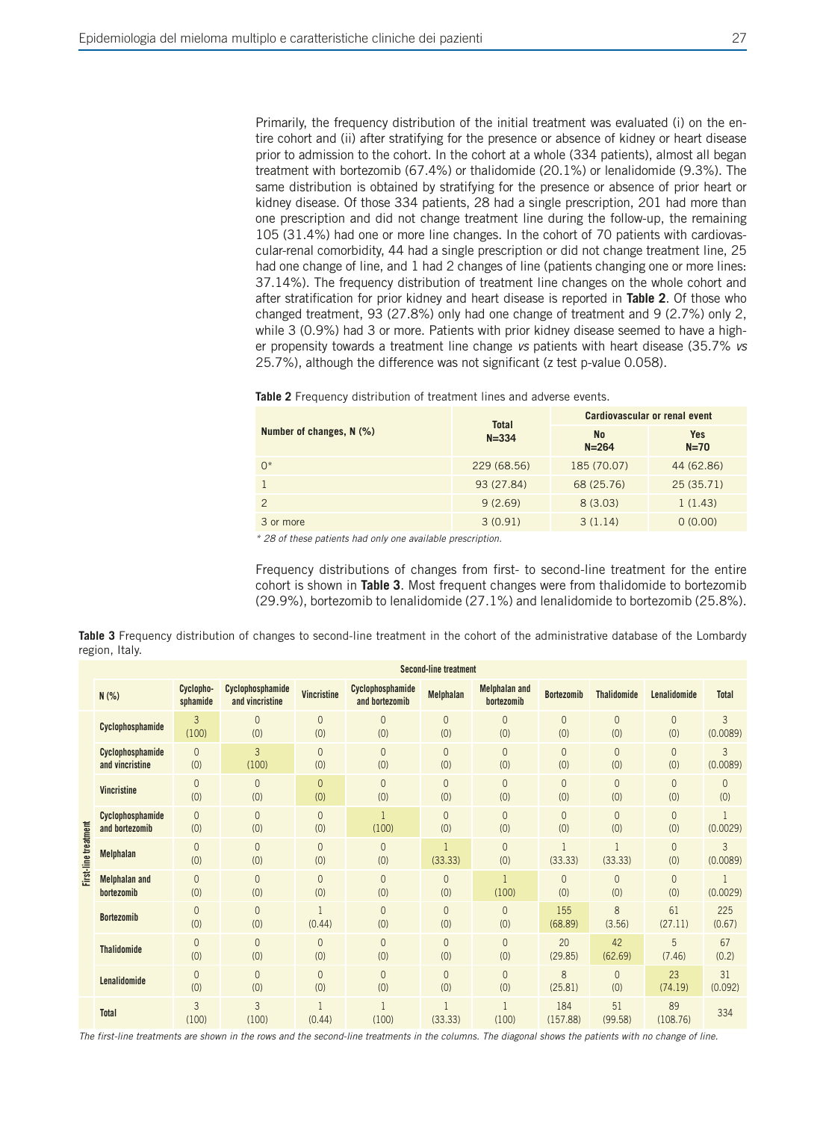Primarily, the frequency distribution of the initial treatment was evaluated (i) on the entire cohort and (ii) after stratifying for the presence or absence of kidney or heart disease prior to admission to the cohort. In the cohort at a whole (334 patients), almost all began treatment with bortezomib (67.4%) or thalidomide (20.1%) or lenalidomide (9.3%). The same distribution is obtained by stratifying for the presence or absence of prior heart or kidney disease. Of those 334 patients, 28 had a single prescription, 201 had more than one prescription and did not change treatment line during the follow-up, the remaining 105 (31.4%) had one or more line changes. In the cohort of 70 patients with cardiovascular-renal comorbidity, 44 had a single prescription or did not change treatment line, 25 had one change of line, and 1 had 2 changes of line (patients changing one or more lines: 37.14%). The frequency distribution of treatment line changes on the whole cohort and after stratification for prior kidney and heart disease is reported in **Table 2**. Of those who changed treatment, 93 (27.8%) only had one change of treatment and 9 (2.7%) only 2, while 3 (0.9%) had 3 or more. Patients with prior kidney disease seemed to have a higher propensity towards a treatment line change *vs* patients with heart disease (35.7% *vs* 25.7%), although the difference was not significant (z test p-value 0.058).

|                          | <b>Total</b> | Cardiovascular or renal event |                      |  |  |
|--------------------------|--------------|-------------------------------|----------------------|--|--|
| Number of changes, N (%) | $N = 334$    | <b>No</b><br>$N = 264$        | <b>Yes</b><br>$N=70$ |  |  |
| $0^*$                    | 229 (68.56)  | 185 (70.07)                   | 44 (62.86)           |  |  |
|                          | 93 (27.84)   | 68 (25.76)                    | 25(35.71)            |  |  |
| $\mathcal{P}$            | 9(2.69)      | 8(3.03)                       | 1(1.43)              |  |  |
| 3 or more                | 3(0.91)      | 3(1.14)                       | 0(0.00)              |  |  |

**Table 2** Frequency distribution of treatment lines and adverse events.

*\* 28 of these patients had only one available prescription.*

Frequency distributions of changes from first- to second-line treatment for the entire cohort is shown in **Table 3**. Most frequent changes were from thalidomide to bortezomib (29.9%), bortezomib to lenalidomide (27.1%) and lenalidomide to bortezomib (25.8%).

| Table 3 Frequency distribution of changes to second-line treatment in the cohort of the administrative database of the Lombardy |  |  |  |  |  |
|---------------------------------------------------------------------------------------------------------------------------------|--|--|--|--|--|
| region, Italy.                                                                                                                  |  |  |  |  |  |

|                      |                                     | <b>Second-line treatment</b> |                                     |                        |                                    |                       |                                    |                         |                       |                       |                 |
|----------------------|-------------------------------------|------------------------------|-------------------------------------|------------------------|------------------------------------|-----------------------|------------------------------------|-------------------------|-----------------------|-----------------------|-----------------|
|                      | N(% )                               | Cyclopho-<br>sphamide        | Cyclophosphamide<br>and vincristine | Vincristine            | Cyclophosphamide<br>and bortezomib | <b>Melphalan</b>      | <b>Melphalan and</b><br>bortezomib | <b>Bortezomib</b>       | <b>Thalidomide</b>    | Lenalidomide          | <b>Total</b>    |
|                      | Cyclophosphamide                    | 3<br>(100)                   | $\overline{0}$<br>(0)               | $\mathbf{0}$<br>(0)    | $\mathbf{0}$<br>(0)                | $\mathbf{0}$<br>(0)   | $\overline{0}$<br>(0)              | $\mathbf 0$<br>(0)      | $\mathbf{0}$<br>(0)   | $\theta$<br>(0)       | 3<br>(0.0089)   |
|                      | Cyclophosphamide<br>and vincristine | $\overline{0}$<br>(0)        | 3<br>(100)                          | $\Omega$<br>(0)        | $\overline{0}$<br>(0)              | $\overline{0}$<br>(0) | $\overline{0}$<br>(0)              | $\overline{0}$<br>(0)   | $\mathbf{0}$<br>(0)   | $\theta$<br>(0)       | 3<br>(0.0089)   |
|                      | <b>Vincristine</b>                  | $\overline{0}$<br>(0)        | $\overline{0}$<br>(0)               | $\overline{0}$<br>(0)  | $\overline{0}$<br>(0)              | $\overline{0}$<br>(0) | $\overline{0}$<br>(0)              | $\mathbf 0$<br>(0)      | $\mathbf{0}$<br>(0)   | $\overline{0}$<br>(0) | $\theta$<br>(0) |
|                      | Cyclophosphamide<br>and bortezomib  | $\overline{0}$<br>(0)        | $\overline{0}$<br>(0)               | $\Omega$<br>(0)        | (100)                              | $\Omega$<br>(0)       | $\Omega$<br>(0)                    | $\overline{0}$<br>(0)   | $\overline{0}$<br>(0) | $\overline{0}$<br>(0) | (0.0029)        |
| First-line treatment | <b>Melphalan</b>                    | $\overline{0}$<br>(0)        | $\overline{0}$<br>(0)               | $\overline{0}$<br>(0)  | $\overline{0}$<br>(0)              | (33.33)               | $\overline{0}$<br>(0)              | $\mathbf{1}$<br>(33.33) | (33.33)               | $\overline{0}$<br>(0) | 3<br>(0.0089)   |
|                      | <b>Melphalan and</b><br>bortezomib  | $\overline{0}$<br>(0)        | $\overline{0}$<br>(0)               | $\overline{0}$<br>(0)  | $\overline{0}$<br>(0)              | 0<br>(0)              | $\mathbf{1}$<br>(100)              | $\overline{0}$<br>(0)   | $\mathbf{0}$<br>(0)   | $\theta$<br>(0)       | (0.0029)        |
|                      | <b>Bortezomib</b>                   | $\overline{0}$<br>(0)        | $\overline{0}$<br>(0)               | $\mathbf{1}$<br>(0.44) | $\overline{0}$<br>(0)              | $\Omega$<br>(0)       | $\overline{0}$<br>(0)              | 155<br>(68.89)          | 8<br>(3.56)           | 61<br>(27.11)         | 225<br>(0.67)   |
|                      | <b>Thalidomide</b>                  | $\overline{0}$<br>(0)        | $\overline{0}$<br>(0)               | $\mathbf{0}$<br>(0)    | $\overline{0}$<br>(0)              | $\overline{0}$<br>(0) | $\overline{0}$<br>(0)              | 20<br>(29.85)           | 42<br>(62.69)         | 5<br>(7.46)           | 67<br>(0.2)     |
|                      | Lenalidomide                        | $\mathbf{0}$<br>(0)          | $\overline{0}$<br>(0)               | $\mathbf{0}$<br>(0)    | $\mathbf{0}$<br>(0)                | $\theta$<br>(0)       | $\overline{0}$<br>(0)              | 8<br>(25.81)            | $\overline{0}$<br>(0) | 23<br>(74.19)         | 31<br>(0.092)   |
|                      | <b>Total</b>                        | 3<br>(100)                   | 3<br>(100)                          | $\mathbf{1}$<br>(0.44) | (100)                              | (33.33)               | $\overline{1}$<br>(100)            | 184<br>(157.88)         | 51<br>(99.58)         | 89<br>(108.76)        | 334             |

*The first-line treatments are shown in the rows and the second-line treatments in the columns. The diagonal shows the patients with no change of line.*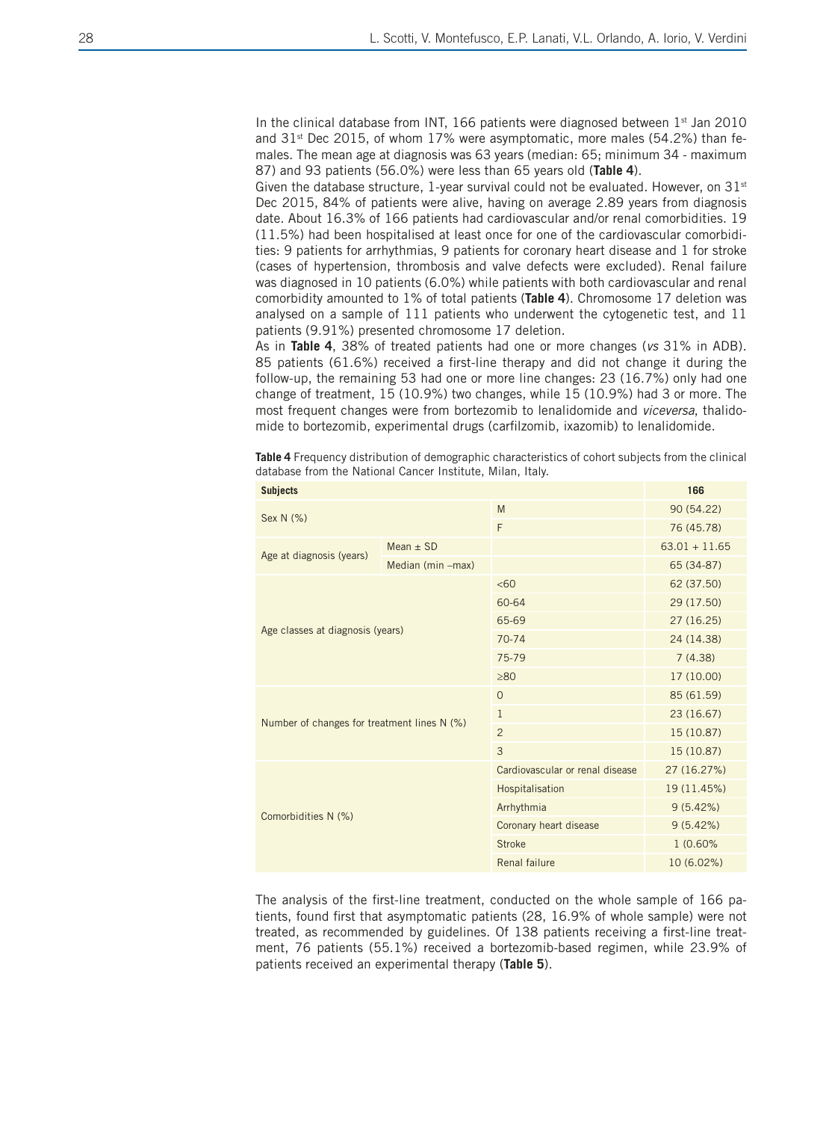In the clinical database from INT, 166 patients were diagnosed between  $1<sup>st</sup>$  Jan 2010 and  $31<sup>st</sup>$  Dec 2015, of whom 17% were asymptomatic, more males (54.2%) than females. The mean age at diagnosis was 63 years (median: 65; minimum 34 - maximum 87) and 93 patients (56.0%) were less than 65 years old (**Table 4**).

Given the database structure, 1-year survival could not be evaluated. However, on  $31<sup>st</sup>$ Dec 2015, 84% of patients were alive, having on average 2.89 years from diagnosis date. About 16.3% of 166 patients had cardiovascular and/or renal comorbidities. 19 (11.5%) had been hospitalised at least once for one of the cardiovascular comorbidities: 9 patients for arrhythmias, 9 patients for coronary heart disease and 1 for stroke (cases of hypertension, thrombosis and valve defects were excluded). Renal failure was diagnosed in 10 patients (6.0%) while patients with both cardiovascular and renal comorbidity amounted to 1% of total patients (**Table 4**). Chromosome 17 deletion was analysed on a sample of 111 patients who underwent the cytogenetic test, and 11 patients (9.91%) presented chromosome 17 deletion.

As in **Table 4**, 38% of treated patients had one or more changes (*vs* 31% in ADB). 85 patients (61.6%) received a first-line therapy and did not change it during the follow-up, the remaining 53 had one or more line changes: 23 (16.7%) only had one change of treatment, 15 (10.9%) two changes, while 15 (10.9%) had 3 or more. The most frequent changes were from bortezomib to lenalidomide and *viceversa*, thalidomide to bortezomib, experimental drugs (carfilzomib, ixazomib) to lenalidomide.

**Table 4** Frequency distribution of demographic characteristics of cohort subjects from the clinical database from the National Cancer Institute, Milan, Italy.

| <b>Subjects</b>                             | 166               |                                 |                 |  |  |
|---------------------------------------------|-------------------|---------------------------------|-----------------|--|--|
| Sex N (%)                                   |                   | M                               | 90 (54.22)      |  |  |
|                                             |                   | F                               | 76 (45.78)      |  |  |
| Age at diagnosis (years)                    | Mean $\pm$ SD     |                                 | $63.01 + 11.65$ |  |  |
|                                             | Median (min -max) |                                 | 65 (34-87)      |  |  |
|                                             |                   | <60                             | 62 (37.50)      |  |  |
|                                             |                   | 60-64                           | 29 (17.50)      |  |  |
|                                             |                   | 65-69                           | 27(16.25)       |  |  |
| Age classes at diagnosis (years)            |                   | $70 - 74$                       | 24 (14.38)      |  |  |
|                                             |                   | 75-79                           | 7(4.38)         |  |  |
|                                             |                   | $\geq 80$                       | 17 (10.00)      |  |  |
|                                             |                   | $\mathbf{O}$                    | 85 (61.59)      |  |  |
| Number of changes for treatment lines N (%) |                   | $\mathbf{1}$                    | 23 (16.67)      |  |  |
|                                             |                   | $\overline{2}$                  | 15 (10.87)      |  |  |
|                                             |                   | 3                               | 15 (10.87)      |  |  |
|                                             |                   | Cardiovascular or renal disease | 27 (16.27%)     |  |  |
|                                             |                   | Hospitalisation                 | 19 (11.45%)     |  |  |
| Comorbidities N (%)                         |                   | Arrhythmia                      | 9(5.42%)        |  |  |
|                                             |                   | Coronary heart disease          | 9(5.42%)        |  |  |
|                                             |                   | <b>Stroke</b>                   | 1 (0.60%        |  |  |
|                                             |                   | Renal failure                   | 10 (6.02%)      |  |  |
|                                             |                   |                                 |                 |  |  |

The analysis of the first-line treatment, conducted on the whole sample of 166 patients, found first that asymptomatic patients (28, 16.9% of whole sample) were not treated, as recommended by guidelines. Of 138 patients receiving a first-line treatment, 76 patients (55.1%) received a bortezomib-based regimen, while 23.9% of patients received an experimental therapy (**Table 5**).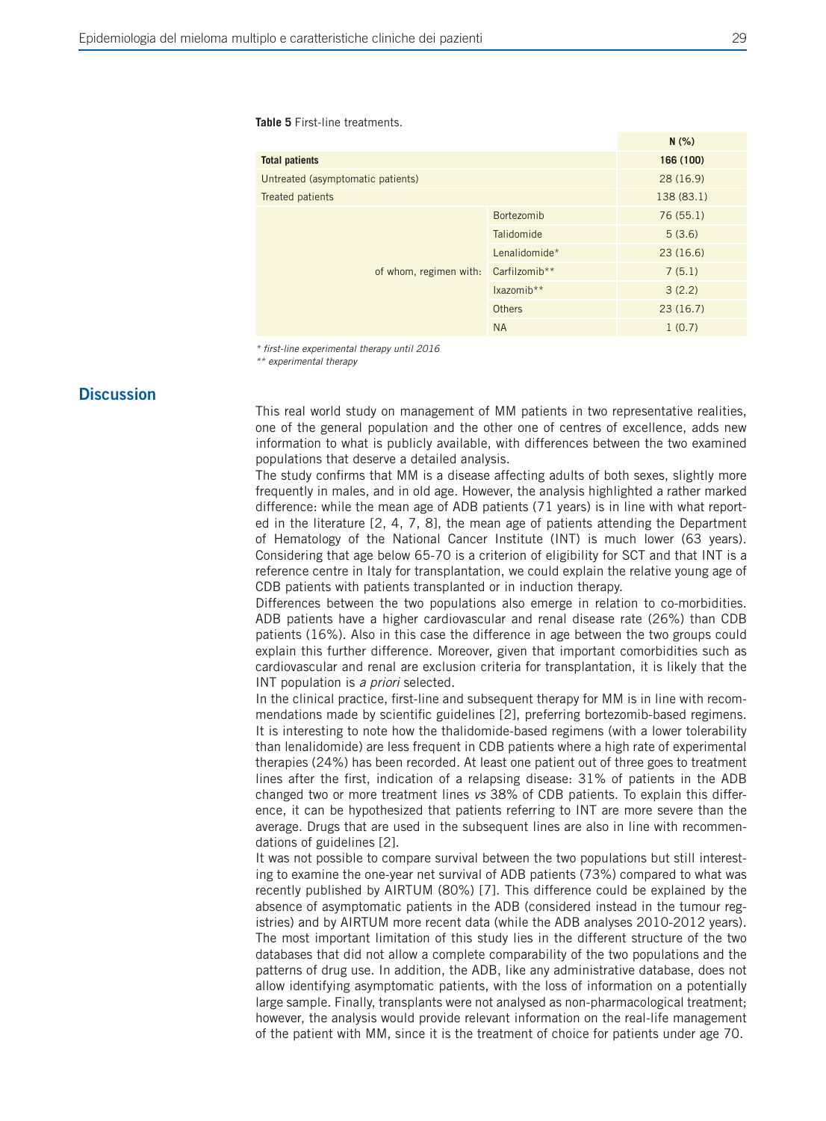**Table 5** First-line treatments.

|                                   |               | N(% )      |  |
|-----------------------------------|---------------|------------|--|
| <b>Total patients</b>             | 166 (100)     |            |  |
| Untreated (asymptomatic patients) | 28(16.9)      |            |  |
| Treated patients                  |               | 138 (83.1) |  |
| of whom, regimen with:            | Bortezomib    | 76(55.1)   |  |
|                                   | Talidomide    | 5(3.6)     |  |
|                                   | Lenalidomide* | 23(16.6)   |  |
|                                   | Carfilzomib** | 7(5.1)     |  |
|                                   | Ixazomib**    | 3(2.2)     |  |
|                                   | <b>Others</b> | 23(16.7)   |  |
|                                   | <b>NA</b>     | 1(0.7)     |  |

*\* first-line experimental therapy until 2016* 

*\*\* experimental therapy*

## **Discussion**

This real world study on management of MM patients in two representative realities, one of the general population and the other one of centres of excellence, adds new information to what is publicly available, with differences between the two examined populations that deserve a detailed analysis.

The study confirms that MM is a disease affecting adults of both sexes, slightly more frequently in males, and in old age. However, the analysis highlighted a rather marked difference: while the mean age of ADB patients (71 years) is in line with what reported in the literature [2, 4, 7, 8], the mean age of patients attending the Department of Hematology of the National Cancer Institute (INT) is much lower (63 years). Considering that age below 65-70 is a criterion of eligibility for SCT and that INT is a reference centre in Italy for transplantation, we could explain the relative young age of CDB patients with patients transplanted or in induction therapy.

Differences between the two populations also emerge in relation to co-morbidities. ADB patients have a higher cardiovascular and renal disease rate (26%) than CDB patients (16%). Also in this case the difference in age between the two groups could explain this further difference. Moreover, given that important comorbidities such as cardiovascular and renal are exclusion criteria for transplantation, it is likely that the INT population is *a priori* selected.

In the clinical practice, first-line and subsequent therapy for MM is in line with recommendations made by scientific guidelines [2], preferring bortezomib-based regimens. It is interesting to note how the thalidomide-based regimens (with a lower tolerability than lenalidomide) are less frequent in CDB patients where a high rate of experimental therapies (24%) has been recorded. At least one patient out of three goes to treatment lines after the first, indication of a relapsing disease: 31% of patients in the ADB changed two or more treatment lines *vs* 38% of CDB patients. To explain this difference, it can be hypothesized that patients referring to INT are more severe than the average. Drugs that are used in the subsequent lines are also in line with recommendations of guidelines [2].

It was not possible to compare survival between the two populations but still interesting to examine the one-year net survival of ADB patients (73%) compared to what was recently published by AIRTUM (80%) [7]. This difference could be explained by the absence of asymptomatic patients in the ADB (considered instead in the tumour registries) and by AIRTUM more recent data (while the ADB analyses 2010-2012 years). The most important limitation of this study lies in the different structure of the two databases that did not allow a complete comparability of the two populations and the patterns of drug use. In addition, the ADB, like any administrative database, does not allow identifying asymptomatic patients, with the loss of information on a potentially large sample. Finally, transplants were not analysed as non-pharmacological treatment; however, the analysis would provide relevant information on the real-life management of the patient with MM, since it is the treatment of choice for patients under age 70.